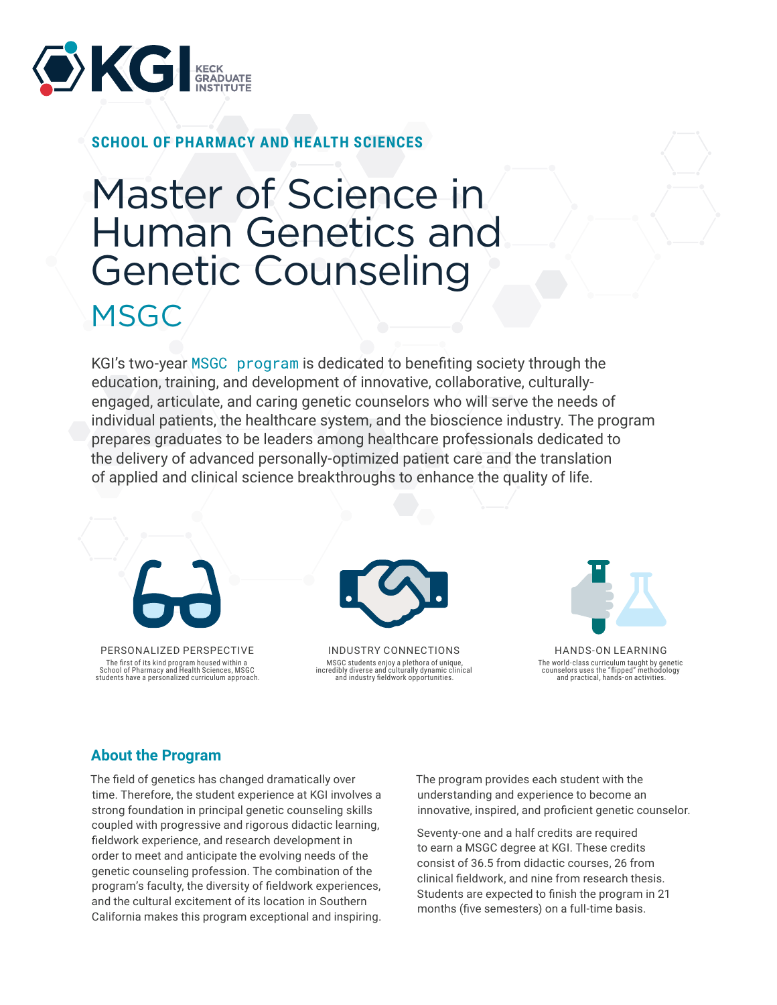

**SCHOOL OF PHARMACY AND HEALTH SCIENCES**

# Master of Science in Human Genetics and Genetic Counseling **MSGC**

KGI's two-year [MSGC program](https://www.kgi.edu/academics/degrees-certificates/master-of-science-in-human-genetics-and-genetic-counseling/) is dedicated to benefiting society through the education, training, and development of innovative, collaborative, culturallyengaged, articulate, and caring genetic counselors who will serve the needs of individual patients, the healthcare system, and the bioscience industry. The program prepares graduates to be leaders among healthcare professionals dedicated to the delivery of advanced personally-optimized patient care and the translation of applied and clinical science breakthroughs to enhance the quality of life.





INDUSTRY CONNECTIONS MSGC students enjoy a plethora of unique, incredibly diverse and culturally dynamic clinical and industry fieldwork opportunities.



HANDS-ON LEARNING The world-class curriculum taught by genetic counselors uses the "flipped" methodology and practical, hands-on activities.

### **About the Program**

students have a personalized curriculum approach.

The field of genetics has changed dramatically over time. Therefore, the student experience at KGI involves a strong foundation in principal genetic counseling skills coupled with progressive and rigorous didactic learning, fieldwork experience, and research development in order to meet and anticipate the evolving needs of the genetic counseling profession. The combination of the program's faculty, the diversity of fieldwork experiences, and the cultural excitement of its location in Southern California makes this program exceptional and inspiring.

The program provides each student with the understanding and experience to become an innovative, inspired, and proficient genetic counselor.

Seventy-one and a half credits are required to earn a MSGC degree at KGI. These credits consist of 36.5 from didactic courses, 26 from clinical fieldwork, and nine from research thesis. Students are expected to finish the program in 21 months (five semesters) on a full-time basis.